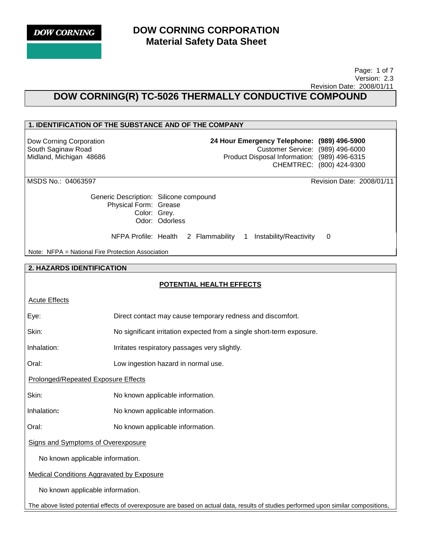

 Page: 1 of 7 Version: 2.3 Revision Date: 2008/01/11

# **DOW CORNING(R) TC-5026 THERMALLY CONDUCTIVE COMPOUND**

## **1. IDENTIFICATION OF THE SUBSTANCE AND OF THE COMPANY**

Dow Corning Corporation South Saginaw Road Midland, Michigan 48686 **24 Hour Emergency Telephone: (989) 496-5900** Customer Service: (989) 496-6000 Product Disposal Information: (989) 496-6315 CHEMTREC: (800) 424-9300

MSDS No.: 04063597 Revision Date: 2008/01/11

Generic Description: Silicone compound Physical Form: Grease Color: Grey. Odor: Odorless

NFPA Profile: Health 2 Flammability 1 Instability/Reactivity 0

Note: NFPA = National Fire Protection Association

#### **2. HAZARDS IDENTIFICATION**

## **POTENTIAL HEALTH EFFECTS**

| <b>Acute Effects</b> |
|----------------------|
|----------------------|

Eye: Direct contact may cause temporary redness and discomfort.

Skin: No significant irritation expected from a single short-term exposure.

Inhalation: Irritates respiratory passages very slightly.

Oral: Low ingestion hazard in normal use.

Prolonged/Repeated Exposure Effects

Skin: No known applicable information.

Inhalation**:** No known applicable information.

Oral: No known applicable information.

Signs and Symptoms of Overexposure

No known applicable information.

Medical Conditions Aggravated by Exposure

No known applicable information.

The above listed potential effects of overexposure are based on actual data, results of studies performed upon similar compositions,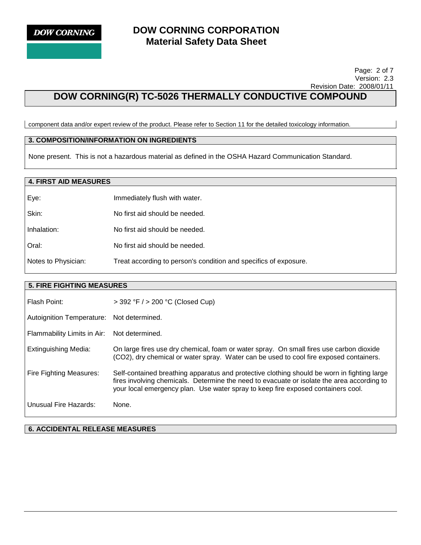Page: 2 of 7 Version: 2.3 Revision Date: 2008/01/11

# **DOW CORNING(R) TC-5026 THERMALLY CONDUCTIVE COMPOUND**

component data and/or expert review of the product. Please refer to Section 11 for the detailed toxicology information.

### **3. COMPOSITION/INFORMATION ON INGREDIENTS**

None present. This is not a hazardous material as defined in the OSHA Hazard Communication Standard.

## **4. FIRST AID MEASURES**

| Eye:                | Immediately flush with water.                                    |
|---------------------|------------------------------------------------------------------|
| Skin:               | No first aid should be needed.                                   |
| Inhalation:         | No first aid should be needed.                                   |
| Oral:               | No first aid should be needed.                                   |
| Notes to Physician: | Treat according to person's condition and specifics of exposure. |

#### **5. FIRE FIGHTING MEASURES**

| Flash Point:                | $>$ 392 °F $/$ > 200 °C (Closed Cup)                                                                                                                                                                                                                                          |
|-----------------------------|-------------------------------------------------------------------------------------------------------------------------------------------------------------------------------------------------------------------------------------------------------------------------------|
| Autoignition Temperature:   | Not determined.                                                                                                                                                                                                                                                               |
| Flammability Limits in Air: | Not determined.                                                                                                                                                                                                                                                               |
| Extinguishing Media:        | On large fires use dry chemical, foam or water spray. On small fires use carbon dioxide<br>(CO2), dry chemical or water spray. Water can be used to cool fire exposed containers.                                                                                             |
| Fire Fighting Measures:     | Self-contained breathing apparatus and protective clothing should be worn in fighting large<br>fires involving chemicals. Determine the need to evacuate or isolate the area according to<br>your local emergency plan. Use water spray to keep fire exposed containers cool. |
| Unusual Fire Hazards:       | None.                                                                                                                                                                                                                                                                         |

**6. ACCIDENTAL RELEASE MEASURES**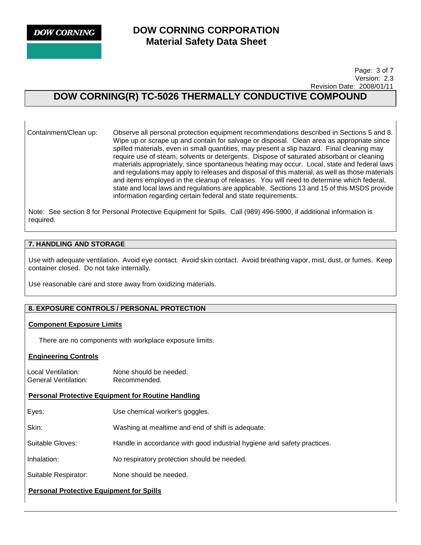**DOW CORNING** 

# **DOW CORNING CORPORATION Material Safety Data Sheet**

 Page: 3 of 7 Version: 2.3 Revision Date: 2008/01/11

# **DOW CORNING(R) TC-5026 THERMALLY CONDUCTIVE COMPOUND**

Containment/Clean up: Observe all personal protection equipment recommendations described in Sections 5 and 8. Wipe up or scrape up and contain for salvage or disposal. Clean area as appropriate since spilled materials, even in small quantities, may present a slip hazard. Final cleaning may require use of steam, solvents or detergents. Dispose of saturated absorbant or cleaning materials appropriately, since spontaneous heating may occur. Local, state and federal laws and regulations may apply to releases and disposal of this material, as well as those materials and items employed in the cleanup of releases. You will need to determine which federal, state and local laws and regulations are applicable. Sections 13 and 15 of this MSDS provide information regarding certain federal and state requirements.

Note: See section 8 for Personal Protective Equipment for Spills. Call (989) 496-5900, if additional information is required.

## **7. HANDLING AND STORAGE**

Use with adequate ventilation. Avoid eye contact. Avoid skin contact. Avoid breathing vapor, mist, dust, or fumes. Keep container closed. Do not take internally.

Use reasonable care and store away from oxidizing materials.

## **8. EXPOSURE CONTROLS / PERSONAL PROTECTION**

#### **Component Exposure Limits**

There are no components with workplace exposure limits.

#### **Engineering Controls**

Local Ventilation: None should be needed. General Ventilation: Recommended.

#### **Personal Protective Equipment for Routine Handling**

Eyes: Use chemical worker's goggles.

Skin: Washing at mealtime and end of shift is adequate.

Suitable Gloves: Handle in accordance with good industrial hygiene and safety practices.

Inhalation: No respiratory protection should be needed.

Suitable Respirator: None should be needed.

## **Personal Protective Equipment for Spills**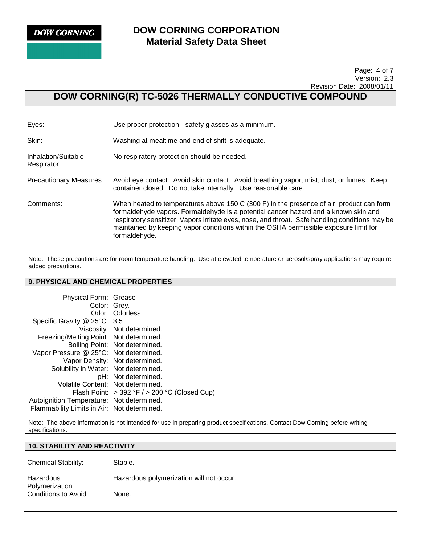

#### Page: 4 of 7 Version: 2.3 Revision Date: 2008/01/11

# **DOW CORNING(R) TC-5026 THERMALLY CONDUCTIVE COMPOUND**

| Eyes:                              | Use proper protection - safety glasses as a minimum.                                                                                                                                                                                                                                                                                                                                         |
|------------------------------------|----------------------------------------------------------------------------------------------------------------------------------------------------------------------------------------------------------------------------------------------------------------------------------------------------------------------------------------------------------------------------------------------|
| Skin:                              | Washing at mealtime and end of shift is adequate.                                                                                                                                                                                                                                                                                                                                            |
| Inhalation/Suitable<br>Respirator: | No respiratory protection should be needed.                                                                                                                                                                                                                                                                                                                                                  |
| <b>Precautionary Measures:</b>     | Avoid eye contact. Avoid skin contact. Avoid breathing vapor, mist, dust, or fumes. Keep<br>container closed. Do not take internally. Use reasonable care.                                                                                                                                                                                                                                   |
| Comments:                          | When heated to temperatures above 150 C (300 F) in the presence of air, product can form<br>formaldehyde vapors. Formaldehyde is a potential cancer hazard and a known skin and<br>respiratory sensitizer. Vapors irritate eyes, nose, and throat. Safe handling conditions may be<br>maintained by keeping vapor conditions within the OSHA permissible exposure limit for<br>formaldehyde. |

Note: These precautions are for room temperature handling. Use at elevated temperature or aerosol/spray applications may require added precautions.

# **9. PHYSICAL AND CHEMICAL PROPERTIES**

| Physical Form: Grease                       |                                                   |
|---------------------------------------------|---------------------------------------------------|
| Color: Grey.                                |                                                   |
|                                             | Odor: Odorless                                    |
| Specific Gravity @ 25°C: 3.5                |                                                   |
|                                             | Viscosity: Not determined.                        |
| Freezing/Melting Point: Not determined.     |                                                   |
|                                             | Boiling Point: Not determined.                    |
| Vapor Pressure @ 25°C: Not determined.      |                                                   |
|                                             | Vapor Density: Not determined.                    |
| Solubility in Water: Not determined.        |                                                   |
|                                             | pH: Not determined.                               |
| Volatile Content: Not determined.           |                                                   |
|                                             | Flash Point: $>$ 392 °F / $>$ 200 °C (Closed Cup) |
| Autoignition Temperature: Not determined.   |                                                   |
| Flammability Limits in Air: Not determined. |                                                   |

Note: The above information is not intended for use in preparing product specifications. Contact Dow Corning before writing specifications.

# **10. STABILITY AND REACTIVITY**  Chemical Stability: Stable. Hazardous Polymerization: Hazardous polymerization will not occur. Conditions to Avoid: None.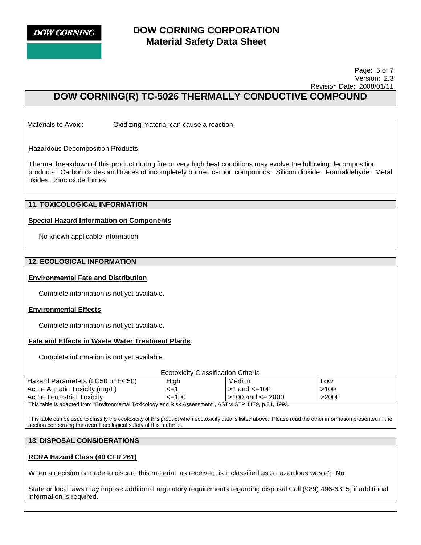

#### Page: 5 of 7 Version: 2.3 Revision Date: 2008/01/11

# **DOW CORNING(R) TC-5026 THERMALLY CONDUCTIVE COMPOUND**

Materials to Avoid: Oxidizing material can cause a reaction.

#### Hazardous Decomposition Products

Thermal breakdown of this product during fire or very high heat conditions may evolve the following decomposition products: Carbon oxides and traces of incompletely burned carbon compounds. Silicon dioxide. Formaldehyde. Metal oxides. Zinc oxide fumes.

## **11. TOXICOLOGICAL INFORMATION**

#### **Special Hazard Information on Components**

No known applicable information.

#### **12. ECOLOGICAL INFORMATION**

#### **Environmental Fate and Distribution**

Complete information is not yet available.

#### **Environmental Effects**

Complete information is not yet available.

#### **Fate and Effects in Waste Water Treatment Plants**

Complete information is not yet available.

|                                                                                                   | <b>Ecotoxicity Classification Criteria</b> |                              |       |
|---------------------------------------------------------------------------------------------------|--------------------------------------------|------------------------------|-------|
| Hazard Parameters (LC50 or EC50)                                                                  | High                                       | Medium                       | Low   |
| Acute Aquatic Toxicity (mg/L)                                                                     | $\leq$ =1                                  | $\vert$ >1 and $\vert$ = 100 | >100  |
| <b>Acute Terrestrial Toxicity</b>                                                                 | $\leq$ 100                                 | $\vert$ >100 and <= 2000     | >2000 |
| This table is adapted from "Environmental Tovicology and Risk Assessment" ASTM STD 1170 n 34 1003 |                                            |                              |       |

This table is adapted from "Environmental Toxicology and Risk Assessment", ASTM STP 1179, p.34, 1993.

This table can be used to classify the ecotoxicity of this product when ecotoxicity data is listed above. Please read the other information presented in the section concerning the overall ecological safety of this material.

#### **13. DISPOSAL CONSIDERATIONS**

#### **RCRA Hazard Class (40 CFR 261)**

When a decision is made to discard this material, as received, is it classified as a hazardous waste? No

State or local laws may impose additional regulatory requirements regarding disposal.Call (989) 496-6315, if additional information is required.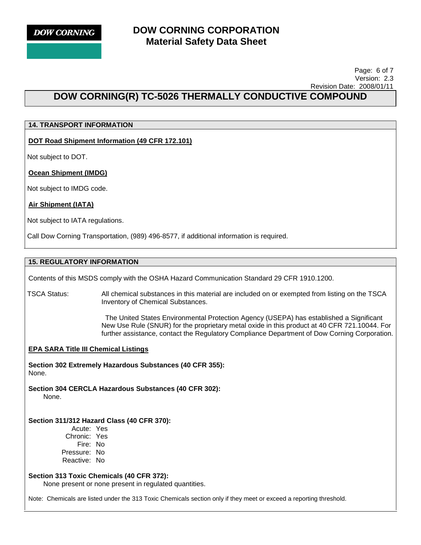

#### Page: 6 of 7 Version: 2.3 Revision Date: 2008/01/11

# **DOW CORNING(R) TC-5026 THERMALLY CONDUCTIVE COMPOUND**

## **14. TRANSPORT INFORMATION**

**DOT Road Shipment Information (49 CFR 172.101)**

Not subject to DOT.

**Ocean Shipment (IMDG)**

Not subject to IMDG code.

## **Air Shipment (IATA)**

Not subject to IATA regulations.

Call Dow Corning Transportation, (989) 496-8577, if additional information is required.

## **15. REGULATORY INFORMATION**

Contents of this MSDS comply with the OSHA Hazard Communication Standard 29 CFR 1910.1200.

TSCA Status: All chemical substances in this material are included on or exempted from listing on the TSCA Inventory of Chemical Substances.

> The United States Environmental Protection Agency (USEPA) has established a Significant New Use Rule (SNUR) for the proprietary metal oxide in this product at 40 CFR 721.10044. For further assistance, contact the Regulatory Compliance Department of Dow Corning Corporation.

## **EPA SARA Title III Chemical Listings**

**Section 302 Extremely Hazardous Substances (40 CFR 355):**  None.

**Section 304 CERCLA Hazardous Substances (40 CFR 302):**  None.

## **Section 311/312 Hazard Class (40 CFR 370):**

Acute: Yes Chronic: Yes Fire: No Pressure: No Reactive: No

#### **Section 313 Toxic Chemicals (40 CFR 372):**

None present or none present in regulated quantities.

Note: Chemicals are listed under the 313 Toxic Chemicals section only if they meet or exceed a reporting threshold.